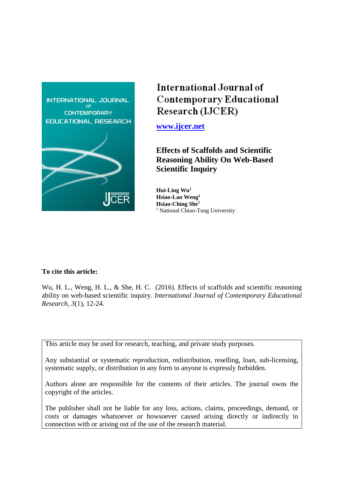

# International Journal of **Contemporary Educational** Research (IJCER)

**[www.ijcer.net](http://www.ijcer.net/)**

**Effects of Scaffolds and Scientific Reasoning Ability On Web-Based Scientific Inquiry**

**Hui-Ling Wu<sup>1</sup> Hsiao-Lan Weng<sup>1</sup> Hsiao-Ching She<sup>1</sup>** <sup>1</sup> National Chiao-Tung University

## **To cite this article:**

Wu, H. L., Weng, H. L., & She, H. C. (2016). Effects of scaffolds and scientific reasoning ability on web-based scientific inquiry. *International Journal of Contemporary Educational Research, 3*(1), 12-24.

This article may be used for research, teaching, and private study purposes.

Any substantial or systematic reproduction, redistribution, reselling, loan, sub-licensing, systematic supply, or distribution in any form to anyone is expressly forbidden.

Authors alone are responsible for the contents of their articles. The journal owns the copyright of the articles.

The publisher shall not be liable for any loss, actions, claims, proceedings, demand, or costs or damages whatsoever or howsoever caused arising directly or indirectly in connection with or arising out of the use of the research material.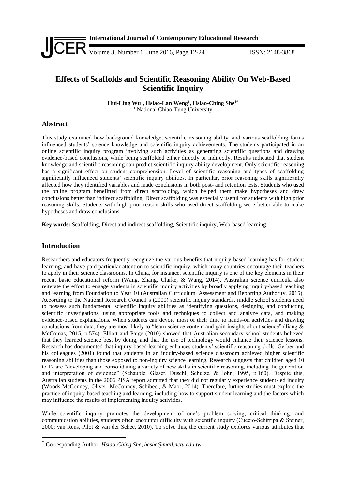

# **Effects of Scaffolds and Scientific Reasoning Ability On Web-Based Scientific Inquiry**

**Hui-Ling Wu<sup>1</sup> , Hsiao-Lan Weng<sup>1</sup> , Hsiao-Ching She1\*** <sup>1</sup> National Chiao-Tung University

## **Abstract**

This study examined how background knowledge, scientific reasoning ability, and various scaffolding forms influenced students' science knowledge and scientific inquiry achievements. The students participated in an online scientific inquiry program involving such activities as generating scientific questions and drawing evidence-based conclusions, while being scaffolded either directly or indirectly. Results indicated that student knowledge and scientific reasoning can predict scientific inquiry ability development. Only scientific reasoning has a significant effect on student comprehension. Level of scientific reasoning and types of scaffolding significantly influenced students' scientific inquiry abilities. In particular, prior reasoning skills significantly affected how they identified variables and made conclusions in both post- and retention tests. Students who used the online program benefitted from direct scaffolding, which helped them make hypotheses and draw conclusions better than indirect scaffolding. Direct scaffolding was especially useful for students with high prior reasoning skills. Students with high prior reason skills who used direct scaffolding were better able to make hypotheses and draw conclusions.

**Key words:** Scaffolding, Direct and indirect scaffolding, Scientific inquiry, Web-based learning

## **Introduction**

-

Researchers and educators frequently recognize the various benefits that inquiry-based learning has for student learning, and have paid particular attention to scientific inquiry, which many countries encourage their teachers to apply in their science classrooms. In China, for instance, scientific inquiry is one of the key elements in their recent basic educational reform (Wang, Zhang, Clarke, & Wang, 2014). Australian science curricula also reiterate the effort to engage students in scientific inquiry activities by broadly applying inquiry-based teaching and learning from Foundation to Year 10 (Australian Curriculum, Assessment and Reporting Authority, 2015). According to the National Research Council's (2000) scientific inquiry standards, middle school students need to possess such fundamental scientific inquiry abilities as identifying questions, designing and conducting scientific investigations, using appropriate tools and techniques to collect and analyze data, and making evidence-based explanations. When students can devote most of their time to hands-on activities and drawing conclusions from data, they are most likely to "learn science content and gain insights about science" (Jiang & McComas, 2015, p.574). Elliott and Paige (2010) showed that Australian secondary school students believed that they learned science best by doing, and that the use of technology would enhance their science lessons. Research has documented that inquiry-based learning enhances students' scientific reasoning skills. Gerber and his colleagues (2001) found that students in an inquiry-based science classroom achieved higher scientific reasoning abilities than those exposed to non-inquiry science learning. Research suggests that children aged 10 to 12 are "developing and consolidating a variety of new skills in scientific reasoning, including the generation and interpretation of evidence" (Schauble, Glaser, Duschl, Schulze, & John, 1995, p.160). Despite this, Australian students in the 2006 PISA report admitted that they did not regularly experience student-led inquiry (Woods-McConney, Oliver, McConney, Schibeci, & Maor, 2014). Therefore, further studies must explore the practice of inquiry-based teaching and learning, including how to support student learning and the factors which may influence the results of implementing inquiry activities.

While scientific inquiry promotes the development of one's problem solving, critical thinking, and communication abilities, students often encounter difficulty with scientific inquiry (Cuccio-Schirripa & Steiner, 2000; van Rens, Pilot & van der Schee, 2010). To solve this, the current study explores various attributes that

<sup>\*</sup> Corresponding Author: *Hsiao-Ching She, hcshe@mail.nctu.edu.tw*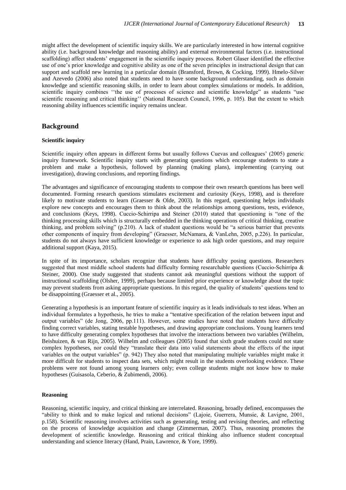might affect the development of scientific inquiry skills. We are particularly interested in how internal cognitive ability (i.e. background knowledge and reasoning ability) and external environmental factors (i.e. instructional scaffolding) affect students' engagement in the scientific inquiry process. Robert Glaser identified the effective use of one's prior knowledge and cognitive ability as one of the seven principles in instructional design that can support and scaffold new learning in a particular domain (Bransford, Brown, & Cocking, 1999). Hmelo-Silver and Azevedo (2006) also noted that students need to have some background understanding, such as domain knowledge and scientific reasoning skills, in order to learn about complex simulations or models. In addition, scientific inquiry combines ''the use of processes of science and scientific knowledge" as students "use scientific reasoning and critical thinking'' (National Research Council, 1996, p. 105). But the extent to which reasoning ability influences scientific inquiry remains unclear.

## **Background**

#### **Scientific inquiry**

Scientific inquiry often appears in different forms but usually follows Cuevas and colleagues' (2005) generic inquiry framework. Scientific inquiry starts with generating questions which encourage students to state a problem and make a hypothesis, followed by planning (making plans), implementing (carrying out investigation), drawing conclusions, and reporting findings.

The advantages and significance of encouraging students to compose their own research questions has been well documented. Forming research questions stimulates excitement and curiosity (Keys, 1998), and is therefore likely to motivate students to learn (Graesser & Olde, 2003). In this regard, questioning helps individuals explore new concepts and encourages them to think about the relationships among questions, tests, evidence, and conclusions (Keys, 1998). Cuccio‐Schirripa and Steiner (2010) stated that questioning is "one of the thinking processing skills which is structurally embedded in the thinking operations of critical thinking, creative thinking, and problem solving" (p.210). A lack of student questions would be "a serious barrier that prevents other components of inquiry from developing" (Graesser, McNamara, & VanLehn, 2005, p.226). In particular, students do not always have sufficient knowledge or experience to ask high order questions, and may require additional support (Kaya, 2015).

In spite of its importance, scholars recognize that students have difficulty posing questions. Researchers suggested that most middle school students had difficulty forming researchable questions (Cuccio-Schirripa & Steiner, 2000). One study suggested that students cannot ask meaningful questions without the support of instructional scaffolding (Olsher, 1999), perhaps because limited prior experience or knowledge about the topic may prevent students from asking appropriate questions. In this regard, the quality of students' questions tend to be disappointing (Graesser et al., 2005).

Generating a hypothesis is an important feature of scientific inquiry as it leads individuals to test ideas. When an individual formulates a hypothesis, he tries to make a "tentative specification of the relation between input and output variables" (de Jong, 2006, pp.111). However, some studies have noted that students have difficulty finding correct variables, stating testable hypotheses, and drawing appropriate conclusions. Young learners tend to have difficulty generating complex hypotheses that involve the interactions between two variables (Wilhelm, Beishuizen, & van Rijn, 2005). Wilhelm and colleagues (2005) found that sixth grade students could not state complex hypotheses, nor could they "translate their data into valid statements about the effects of the input variables on the output variables" (p. 942) They also noted that manipulating multiple variables might make it more difficult for students to inspect data sets, which might result in the students overlooking evidence. These problems were not found among young learners only; even college students might not know how to make hypotheses (Guisasola, Ceberio, & Zubimendi, 2006).

#### **Reasoning**

Reasoning, scientific inquiry, and critical thinking are interrelated. Reasoning, broadly defined, encompasses the "ability to think and to make logical and rational decisions" (Lajoie, Guerrera, Munsie, & Lavigne, 2001, p.158). Scientific reasoning involves activities such as generating, testing and revising theories, and reflecting on the process of knowledge acquisition and change (Zimmerman, 2007). Thus, reasoning promotes the development of scientific knowledge. Reasoning and critical thinking also influence student conceptual understanding and science literacy (Hand, Prain, Lawrence, & Yore, 1999).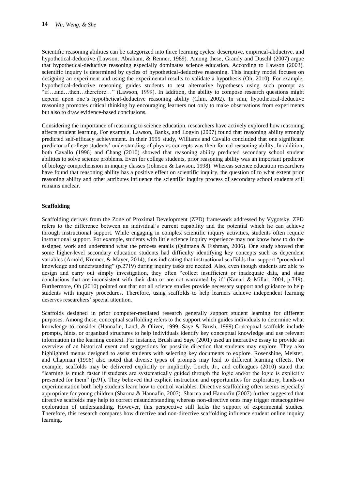Scientific reasoning abilities can be categorized into three learning cycles: descriptive, empirical-abductive, and hypothetical-deductive (Lawson, Abraham, & Renner, 1989). Among these, Grandy and Duschl (2007) argue that hypothetical-deductive reasoning especially dominates science education. According to Lawson (2003), scientific inquiry is determined by cycles of hypothetical-deductive reasoning. This inquiry model focuses on designing an experiment and using the experimental results to validate a hypothesis (Oh, 2010). For example, hypothetical-deductive reasoning guides students to test alternative hypotheses using such prompt as "if….and…then…therefore…" (Lawson, 1999). In addition, the ability to compose research questions might depend upon one's hypothetical-deductive reasoning ability (Chin, 2002). In sum, hypothetical-deductive reasoning promotes critical thinking by encouraging learners not only to make observations from experiments but also to draw evidence-based conclusions.

Considering the importance of reasoning to science education, researchers have actively explored how reasoning affects student learning. For example, Lawson, Banks, and Logvin (2007) found that reasoning ability strongly predicted self-efficacy achievement. In their 1995 study, Williams and Cavallo concluded that one significant predictor of college students' understanding of physics concepts was their formal reasoning ability. In addition, both Cavallo (1996) and Chang (2010) showed that reasoning ability predicted secondary school student abilities to solve science problems. Even for college students, prior reasoning ability was an important predictor of biology comprehension in inquiry classes (Johnson & Lawson, 1998). Whereas science education researchers have found that reasoning ability has a positive effect on scientific inquiry, the question of to what extent prior reasoning ability and other attributes influence the scientific inquiry process of secondary school students still remains unclear.

## **Scaffolding**

Scaffolding derives from the Zone of Proximal Development (ZPD) framework addressed by Vygotsky. ZPD refers to the difference between an individual's current capability and the potential which he can achieve through instructional support. While engaging in complex scientific inquiry activities, students often require instructional support. For example, students with little science inquiry experience may not know how to do the assigned work and understand what the process entails (Quintana & Fishman, 2006). One study showed that some higher-level secondary education students had difficulty identifying key concepts such as dependent variables (Arnold, Kremer, & Mayer, 2014), thus indicating that instructional scaffolds that support "procedural knowledge and understanding" (p.2719) during inquiry tasks are needed. Also, even though students are able to design and carry out simply investigation, they often "collect insufficient or inadequate data, and state conclusions that are inconsistent with their data or are not warranted by it" (Kanari & Millar, 2004, p.749). Furthermore, Oh (2010) pointed out that not all science studies provide necessary support and guidance to help students with inquiry procedures. Therefore, using scaffolds to help learners achieve independent learning deserves researchers' special attention.

Scaffolds designed in prior computer-mediated research generally support student learning for different purposes. Among these, conceptual scaffolding refers to the support which guides individuals to determine what knowledge to consider (Hannafin, Land, & Oliver, 1999; Saye & Brush, 1999).Conceptual scaffolds include prompts, hints, or organized structures to help individuals identify key conceptual knowledge and use relevant information in the learning context. For instance, Brush and Saye (2001) used an interactive essay to provide an overview of an historical event and suggestions for possible direction that students may explore. They also highlighted menus designed to assist students with selecting key documents to explore. Rosenshine, Meister, and Chapman (1996) also noted that diverse types of prompts may lead to different learning effects. For example, scaffolds may be delivered explicitly or implicitly. Lorch, Jr., and colleagues (2010) stated that "learning is much faster if students are systematically guided through the logic and/or the logic is explicitly presented for them" (p.91). They believed that explicit instruction and opportunities for exploratory, hands-on experimentation both help students learn how to control variables. Directive scaffolding often seems especially appropriate for young children (Sharma & Hannafin, 2007). Sharma and Hannafin (2007) further suggested that directive scaffolds may help to correct misunderstanding whereas non-directive ones may trigger metacognitive exploration of understanding. However, this perspective still lacks the support of experimental studies. Therefore, this research compares how directive and non-directive scaffolding influence student online inquiry learning.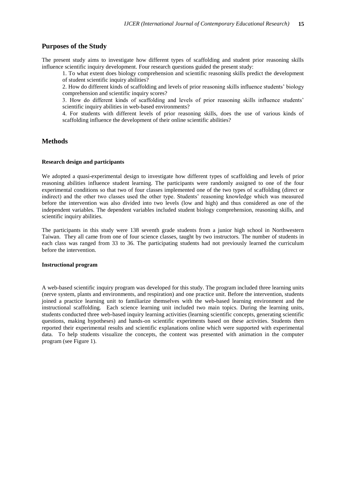## **Purposes of the Study**

The present study aims to investigate how different types of scaffolding and student prior reasoning skills influence scientific inquiry development. Four research questions guided the present study:

1. To what extent does biology comprehension and scientific reasoning skills predict the development of student scientific inquiry abilities?

2. How do different kinds of scaffolding and levels of prior reasoning skills influence students' biology comprehension and scientific inquiry scores?

3. How do different kinds of scaffolding and levels of prior reasoning skills influence students' scientific inquiry abilities in web-based environments?

4. For students with different levels of prior reasoning skills, does the use of various kinds of scaffolding influence the development of their online scientific abilities?

## **Methods**

## **Research design and participants**

We adopted a quasi-experimental design to investigate how different types of scaffolding and levels of prior reasoning abilities influence student learning. The participants were randomly assigned to one of the four experimental conditions so that two of four classes implemented one of the two types of scaffolding (direct or indirect) and the other two classes used the other type. Students' reasoning knowledge which was measured before the intervention was also divided into two levels (low and high) and thus considered as one of the independent variables. The dependent variables included student biology comprehension, reasoning skills, and scientific inquiry abilities.

The participants in this study were 138 seventh grade students from a junior high school in Northwestern Taiwan. They all came from one of four science classes, taught by two instructors. The number of students in each class was ranged from 33 to 36. The participating students had not previously learned the curriculum before the intervention.

## **Instructional program**

A web-based scientific inquiry program was developed for this study. The program included three learning units (nerve system, plants and environments, and respiration) and one practice unit. Before the intervention, students joined a practice learning unit to familiarize themselves with the web-based learning environment and the instructional scaffolding. Each science learning unit included two main topics. During the learning units, students conducted three web-based inquiry learning activities (learning scientific concepts, generating scientific questions, making hypotheses) and hands-on scientific experiments based on these activities. Students then reported their experimental results and scientific explanations online which were supported with experimental data. To help students visualize the concepts, the content was presented with animation in the computer program (see Figure 1).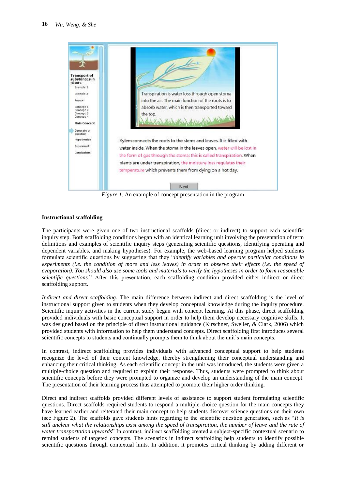

*Figure 1.* An example of concept presentation in the program

## **Instructional scaffolding**

The participants were given one of two instructional scaffolds (direct or indirect) to support each scientific inquiry step. Both scaffolding conditions began with an identical learning unit involving the presentation of term definitions and examples of scientific inquiry steps (generating scientific questions, identifying operating and dependent variables, and making hypotheses). For example, the web-based learning program helped students formulate scientific questions by suggesting that they "*identify variables and operate particular conditions in experiments (i.e. the condition of more and less leaves) in order to observe their effects (i.e. the speed of evaporation). You should also use some tools and materials to verify the hypotheses in order to form reasonable scientific questions.*" After this presentation, each scaffolding condition provided either indirect or direct scaffolding support.

*Indirect and direct scaffolding*. The main difference between indirect and direct scaffolding is the level of instructional support given to students when they develop conceptual knowledge during the inquiry procedure. Scientific inquiry activities in the current study began with concept learning. At this phase, direct scaffolding provided individuals with basic conceptual support in order to help them develop necessary cognitive skills. It was designed based on the principle of direct instructional guidance (Kirschner, Sweller, & Clark, 2006) which provided students with information to help them understand concepts. Direct scaffolding first introduces several scientific concepts to students and continually prompts them to think about the unit's main concepts.

In contrast, indirect scaffolding provides individuals with advanced conceptual support to help students recognize the level of their content knowledge, thereby strengthening their conceptual understanding and enhancing their critical thinking. As each scientific concept in the unit was introduced, the students were given a multiple-choice question and required to explain their response. Thus, students were prompted to think about scientific concepts before they were prompted to organize and develop an understanding of the main concept. The presentation of their learning process thus attempted to promote their higher order thinking.

Direct and indirect scaffolds provided different levels of assistance to support student formulating scientific questions. Direct scaffolds required students to respond a multiple-choice question for the main concepts they have learned earlier and reiterated their main concept to help students discover science questions on their own (see Figure 2). The scaffolds gave students hints regarding to the scientific question generation, such as "*It is still unclear what the relationships exist among the speed of transpiration, the number of leave and the rate of water transportation upwards*" In contrast, indirect scaffolding created a subject-specific contextual scenario to remind students of targeted concepts. The scenarios in indirect scaffolding help students to identify possible scientific questions through contextual hints. In addition, it promotes critical thinking by adding different or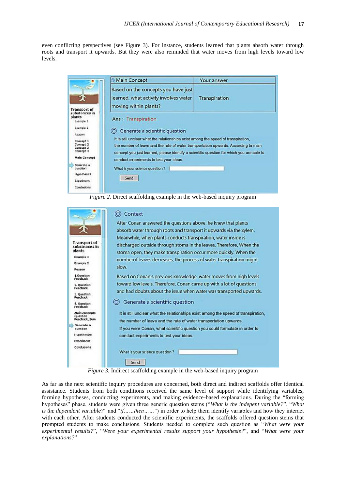even conflicting perspectives (see Figure 3). For instance, students learned that plants absorb water through roots and transport it upwards. But they were also reminded that water moves from high levels toward low levels.

|                                                                    | <b>Main Concept</b>                                                                                                                                                                                                                                                    | Your answer   |
|--------------------------------------------------------------------|------------------------------------------------------------------------------------------------------------------------------------------------------------------------------------------------------------------------------------------------------------------------|---------------|
| $\mathbf{J}_{\mathbf{F}}$<br><b>Transport of</b>                   | Based on the concepts you have just<br>learned, what activity involves water<br>moving within plants?                                                                                                                                                                  | Transpiration |
| substances in<br>plants<br>Example 1                               | Ans: Transpiration                                                                                                                                                                                                                                                     |               |
| Example 2<br>Reason                                                | © Generate a scientific question                                                                                                                                                                                                                                       |               |
| Concept 1<br>Concept <sub>2</sub><br>Concept 3<br>Concept 4        | It is still unclear what the relationships exist among the speed of transpiration,<br>the number of leave and the rate of water transportation upwards. According to main<br>concept you just learned, please identify a scientific question for which you are able to |               |
| <b>Main Concept</b>                                                | conduct experiments to test your ideas.                                                                                                                                                                                                                                |               |
| Generate a<br>question<br>Hypothesize<br>Experiment<br>Conclusions | What is your science question?<br>Send                                                                                                                                                                                                                                 |               |



|                                      | After Conan answered the questions above, he knew that plants                      |
|--------------------------------------|------------------------------------------------------------------------------------|
|                                      | absorb water through roots and transport it upwards via the xylem.                 |
|                                      | Meanwhile, when plants conducts transpiration, water inside is                     |
| <b>Transport of</b><br>substnaces in | discharged outside through stoma in the leaves. Therefore, When the                |
| plants                               | stoma open, they make transpiration occur more quickly. When the                   |
| Example 1                            | numberof leaves decreases, the process of water transpiration might                |
| Example 2                            | slow.                                                                              |
| Reason<br>1.Ouestion                 |                                                                                    |
| Feedback                             | Based on Conan's previous knowledge, water moves from high levels                  |
| 2. Question<br>Feedback              | toward low levels. Therefore, Conan came up with a lot of questions                |
| 3. Question<br>Feedback              | and had doubts about the issue when water was transported upwards.                 |
| 4. Ouestion<br>Funchack              | Generate a scientific question<br>0                                                |
| Main concepts<br>Question            | It is still unclear what the relationships exist among the speed of transpiration, |
| Feedback_Sum                         | the number of leave and the rate of water transportation upwards.                  |
| Generate a<br>question               | If you were Conan, what scientific question you could formulate in order to        |
| Hypothesize                          | conduct experiments to test your ideas.                                            |
| Experiment                           |                                                                                    |
| Conclusions                          | What is your science question?                                                     |
|                                      | Send                                                                               |

As far as the next scientific inquiry procedures are concerned, both direct and indirect scaffolds offer identical assistance. Students from both conditions received the same level of support while identifying variables, forming hypotheses, conducting experiments, and making evidence-based explanations. During the "forming hypotheses" phase, students were given three generic question stems ("*What is the indepent variable?*", "*What is the dependent variable?*" and "*if……then……*") in order to help them identify variables and how they interact with each other. After students conducted the scientific experiments, the scaffolds offered question stems that prompted students to make conclusions. Students needed to complete such question as "*What were your experimental results?*", "*Were your experimental results support your hypothesis?*", and "*What were your explanations?*"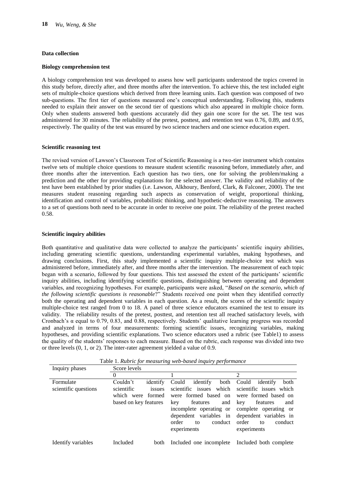#### **Data collection**

## **Biology comprehension test**

A biology comprehension test was developed to assess how well participants understood the topics covered in this study before, directly after, and three months after the intervention. To achieve this, the test included eight sets of multiple-choice questions which derived from three learning units. Each question was composed of two sub-questions. The first tier of questions measured one's conceptual understanding. Following this, students needed to explain their answer on the second tier of questions which also appeared in multiple choice form. Only when students answered both questions accurately did they gain one score for the set. The test was administered for 30 minutes. The reliability of the pretest, posttest, and retention test was 0.76, 0.89, and 0.95, respectively. The quality of the test was ensured by two science teachers and one science education expert.

#### **Scientific reasoning test**

The revised version of Lawson's Classroom Test of Scientific Reasoning is a two-tier instrument which contains twelve sets of multiple choice questions to measure student scientific reasoning before, immediately after, and three months after the intervention. Each question has two tiers, one for solving the problem/making a prediction and the other for providing explanations for the selected answer. The validity and reliability of the test have been established by prior studies (i.e. Lawson, Alkhoury, Benford, Clark, & Falconer, 2000). The test measures student reasoning regarding such aspects as conservation of weight, proportional thinking, identification and control of variables, probabilistic thinking, and hypothetic-deductive reasoning. The answers to a set of questions both need to be accurate in order to receive one point. The reliability of the pretest reached 0.58.

#### **Scientific inquiry abilities**

Both quantitative and qualitative data were collected to analyze the participants' scientific inquiry abilities, including generating scientific questions, understanding experimental variables, making hypotheses, and drawing conclusions. First, this study implemented a scientific inquiry multiple-choice test which was administered before, immediately after, and three months after the intervention. The measurement of each topic began with a scenario, followed by four questions. This test assessed the extent of the participants' scientific inquiry abilities, including identifying scientific questions, distinguishing between operating and dependent variables, and recognizing hypotheses. For example, participants were asked, "*Based on the scenario, which of the following scientific questions is reasonable*?" Students received one point when they identified correctly both the operating and dependent variables in each question. As a result, the scores of the scientific inquiry multiple-choice test ranged from 0 to 18. A panel of three science educators examined the test to ensure its validity. The reliability results of the pretest, posttest, and retention test all reached satisfactory levels, with Cronbach's  $\alpha$  equal to 0.79, 0.83, and 0.88, respectively. Students' qualitative learning progress was recorded and analyzed in terms of four measurements: forming scientific issues, recognizing variables, making hypotheses, and providing scientific explanations. Two science educators used a rubric (see Table1) to assess the quality of the students' responses to each measure. Based on the rubric, each response was divided into two or three levels (0, 1, or 2). The inter-rater agreement yielded a value of 0.9.

| Inquiry phases                    | Score levels                                                                               |                                                                                                                                                                                                         |                                                                                                                                                                                                    |
|-----------------------------------|--------------------------------------------------------------------------------------------|---------------------------------------------------------------------------------------------------------------------------------------------------------------------------------------------------------|----------------------------------------------------------------------------------------------------------------------------------------------------------------------------------------------------|
|                                   | 0                                                                                          |                                                                                                                                                                                                         | 2                                                                                                                                                                                                  |
| Formulate<br>scientific questions | Couldn't<br>identify<br>scientific<br>issues<br>which were formed<br>based on key features | identify<br>Could<br>both<br>scientific issues<br>which<br>were formed based on<br>and<br>features<br>key<br>incomplete operating or<br>dependent variables in<br>conduct<br>order<br>to<br>experiments | Could<br>both<br>identify<br>scientific issues which<br>were formed based on<br>features<br>key<br>and<br>complete operating or<br>dependent variables in<br>order<br>conduct<br>to<br>experiments |
| Identify variables                | Included<br>both                                                                           | Included one incomplete                                                                                                                                                                                 | Included both complete                                                                                                                                                                             |

Table 1. *Rubric for measuring web-based inquiry performance*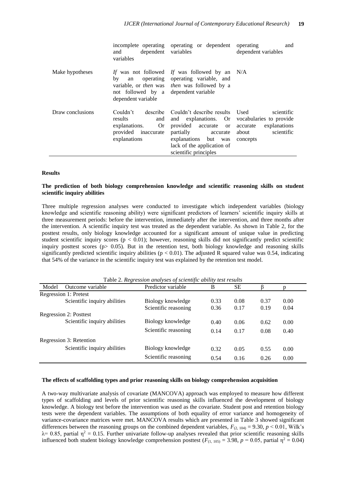|                  | dependent variables<br>and<br>variables                                                  | incomplete operating operating or dependent                                                                                                                                                                                      | operating<br>and<br>dependent variables                       |
|------------------|------------------------------------------------------------------------------------------|----------------------------------------------------------------------------------------------------------------------------------------------------------------------------------------------------------------------------------|---------------------------------------------------------------|
| Make hypotheses  | bv<br>an<br>not followed by a dependent variable<br>dependent variable                   | If was not followed If was followed by an N/A<br>operating operating variable, and<br>variable, or <i>then</i> was <i>then</i> was followed by a                                                                                 |                                                               |
| Draw conclusions | Couldn't<br>results<br>and<br>Or<br>explanations.<br>provided inaccurate<br>explanations | describe Couldn't describe results Used<br>and explanations. Or vocabularies to provide<br>provided accurate or accurate<br>partially<br>accurate<br>explanations but was<br>lack of the application of<br>scientific principles | scientific<br>explanations<br>scientific<br>about<br>concepts |

#### **Results**

## **The prediction of both biology comprehension knowledge and scientific reasoning skills on student scientific inquiry abilities**

Three multiple regression analyses were conducted to investigate which independent variables (biology knowledge and scientific reasoning ability) were significant predictors of learners' scientific inquiry skills at three measurement periods: before the intervention, immediately after the intervention, and three months after the intervention. A scientific inquiry test was treated as the dependent variable. As shown in Table 2, for the posttest results, only biology knowledge accounted for a significant amount of unique value in predicting student scientific inquiry scores ( $p < 0.01$ ); however, reasoning skills did not significantly predict scientific inquiry posttest scores ( $p > 0.05$ ). But in the retention test, both biology knowledge and reasoning skills significantly predicted scientific inquiry abilities ( $p < 0.01$ ). The adjusted R squared value was 0.54, indicating that 54% of the variance in the scientific inquiry test was explained by the retention test model.

|                         | Table 2. Regression and yses of scientific ability lest results |                      |      |           |      |      |  |  |
|-------------------------|-----------------------------------------------------------------|----------------------|------|-----------|------|------|--|--|
| Model                   | Outcome variable                                                | Predictor variable   | B    | <b>SE</b> |      | D    |  |  |
|                         | <b>Regression 1: Pretest</b>                                    |                      |      |           |      |      |  |  |
|                         | Scientific inquiry abilities                                    | Biology knowledge    | 0.33 | 0.08      | 0.37 | 0.00 |  |  |
|                         |                                                                 | Scientific reasoning | 0.36 | 0.17      | 0.19 | 0.04 |  |  |
|                         | <b>Regression 2: Posttest</b>                                   |                      |      |           |      |      |  |  |
|                         | Scientific inquiry abilities                                    | Biology knowledge    | 0.40 | 0.06      | 0.62 | 0.00 |  |  |
|                         |                                                                 | Scientific reasoning | 0.14 | 0.17      | 0.08 | 0.40 |  |  |
| Regression 3: Retention |                                                                 |                      |      |           |      |      |  |  |
|                         | Scientific inquiry abilities                                    | Biology knowledge    | 0.32 | 0.05      | 0.55 | 0.00 |  |  |
|                         |                                                                 | Scientific reasoning | 0.54 | 0.16      | 0.26 | 0.00 |  |  |

Table 2. *Regression analyses of scientific ability test results*

#### **The effects of scaffolding types and prior reasoning skills on biology comprehension acquisition**

A two-way multivariate analysis of covariate (MANCOVA) approach was employed to measure how different types of scaffolding and levels of prior scientific reasoning skills influenced the development of biology knowledge. A biology test before the intervention was used as the covariate. Student post and retention biology tests were the dependent variables. The assumptions of both equality of error variance and homogeneity of variance-covariance matrices were met. MANCOVA results which are presented in Table 3 showed significant differences between the reasoning groups on the combined dependent variables,  $F_{(2, 104)} = 9.30, p < 0.01$ , Wilk's  $\lambda$  = 0.85, partial  $\eta$ <sup>2</sup> = 0.15. Further univariate follow-up analyses revealed that prior scientific reasoning skills influenced both student biology knowledge comprehension posttest ( $F_{(1, 105)} = 3.98$ ,  $p = 0.05$ , partial  $\eta^2 = 0.04$ )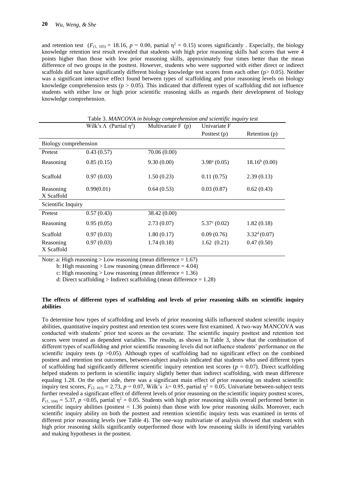and retention test  $(F_{(1, 105)} = 18.16, p = 0.00,$  partial  $\eta^2 = 0.15$ ) scores significantly. Especially, the biology knowledge retention test result revealed that students with high prior reasoning skills had scores that were 4 points higher than those with low prior reasoning skills, approximately four times better than the mean difference of two groups in the posttest. However, students who were supported with either direct or indirect scaffolds did not have significantly different biology knowledge test scores from each other ( $p$   $> 0.05$ ). Neither was a significant interactive effect found between types of scaffolding and prior reasoning levels on biology knowledge comprehension tests ( $p > 0.05$ ). This indicated that different types of scaffolding did not influence students with either low or high prior scientific reasoning skills as regards their development of biology knowledge comprehension.

|                         | <b>Lavic 5. MARCOVA in Diology comprehension and scientific inquiry lest</b> |                     |                          |                          |  |  |  |  |
|-------------------------|------------------------------------------------------------------------------|---------------------|--------------------------|--------------------------|--|--|--|--|
|                         | Wilk's $\Lambda$ (Partial $\eta^2$ )                                         | Multivariate $F(p)$ | Univariate F             |                          |  |  |  |  |
|                         |                                                                              |                     | Posttest (p)             | Retention (p)            |  |  |  |  |
| Biology comprehension   |                                                                              |                     |                          |                          |  |  |  |  |
| Pretest                 | 0.43(0.57)                                                                   | 70.06 (0.00)        |                          |                          |  |  |  |  |
| Reasoning               | 0.85(0.15)                                                                   | 9.30(0.00)          | 3.98 <sup>a</sup> (0.05) | $18.16^b(0.00)$          |  |  |  |  |
| Scaffold                | 0.97(0.03)                                                                   | 1.50(0.23)          | 0.11(0.75)               | 2.39(0.13)               |  |  |  |  |
| Reasoning<br>X Scaffold | 0.99(0.01)                                                                   | 0.64(0.53)          | 0.03(0.87)               | 0.62(0.43)               |  |  |  |  |
| Scientific Inquiry      |                                                                              |                     |                          |                          |  |  |  |  |
| Pretest                 | 0.57(0.43)                                                                   | 38.42 (0.00)        |                          |                          |  |  |  |  |
| Reasoning               | 0.95(0.05)                                                                   | 2.73(0.07)          | $5.37^{\circ}$ (0.02)    | 1.82(0.18)               |  |  |  |  |
| Scaffold                | 0.97(0.03)                                                                   | 1.80(0.17)          | 0.09(0.76)               | 3.32 <sup>d</sup> (0.07) |  |  |  |  |
| Reasoning<br>X Scaffold | 0.97(0.03)                                                                   | 1.74(0.18)          | 1.62(0.21)               | 0.47(0.50)               |  |  |  |  |

Table 3. *MANCOVA in biology comprehension and scientific inquiry test*

Note: a: High reasoning  $>$  Low reasoning (mean difference  $= 1.67$ )

b: High reasoning  $>$  Low reasoning (mean difference  $=$  4.04)

c: High reasoning  $>$  Low reasoning (mean difference = 1.36)

d: Direct scaffolding > Indirect scaffolding (mean difference  $= 1.28$ )

## **The effects of different types of scaffolding and levels of prior reasoning skills on scientific inquiry abilities**

To determine how types of scaffolding and levels of prior reasoning skills influenced student scientific inquiry abilities, quantitative inquiry posttest and retention test scores were first examined. A two-way MANCOVA was conducted with students' prior test scores as the covariate. The scientific inquiry posttest and retention test scores were treated as dependent variables. The results, as shown in Table 3, show that the combination of different types of scaffolding and prior scientific reasoning levels did not influence students' performance on the scientific inquiry tests ( $p > 0.05$ ). Although types of scaffolding had no significant effect on the combined posttest and retention test outcomes, between-subject analysis indicated that students who used different types of scaffolding had significantly different scientific inquiry retention test scores ( $p = 0.07$ ). Direct scaffolding helped students to perform in scientific inquiry slightly better than indirect scaffolding, with mean difference equaling 1.28. On the other side, there was a significant main effect of prior reasoning on student scientific inquiry test scores,  $F_{(2, 103)} = 2.73$ ,  $p = 0.07$ , Wilk's  $\lambda = 0.95$ , partial  $\eta^2 = 0.05$ . Univariate between-subject tests further revealed a significant effect of different levels of prior reasoning on the scientific inquiry posttest scores,  $F_{(1, 104)} = 5.37$ , *p* <0.05, partial  $\eta^2 = 0.05$ . Students with high prior reasoning skills overall performed better in scientific inquiry abilities (posttest  $= 1.36$  points) than those with low prior reasoning skills. Moreover, each scientific inquiry ability on both the posttest and retention scientific inquiry tests was examined in terms of different prior reasoning levels (see Table 4). The one-way multivariate of analysis showed that students with high prior reasoning skills significantly outperformed those with low reasoning skills in identifying variables and making hypotheses in the posttest.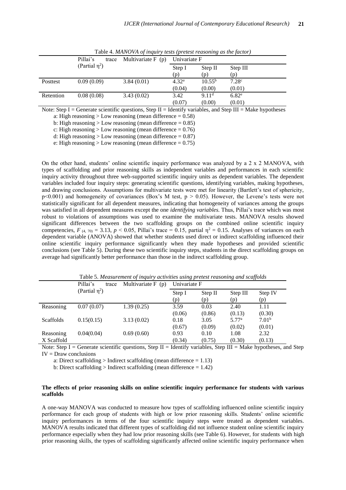|           | Pillai's            | trace | Multivariate $F(p)$ | Univariate F      |                   |                   |
|-----------|---------------------|-------|---------------------|-------------------|-------------------|-------------------|
|           | (Partial $\eta^2$ ) |       |                     | Step I            | Step II           | Step III          |
|           |                     |       |                     | (p)               | (p)               | (p)               |
| Posttest  | 0.09(0.09)          |       | 3.84(0.01)          | 4.32 <sup>a</sup> | $10.55^{b}$       | 7.28 <sup>c</sup> |
|           |                     |       |                     | (0.04)            | (0.00)            | (0.01)            |
| Retention | 0.08(0.08)          |       | 3.43(0.02)          | 3.42              | 9.11 <sup>d</sup> | 6.82 <sup>e</sup> |
|           |                     |       |                     | (0.07)            | (0.00)            | (0.01)            |

Table 4. *MANOVA of inquiry tests (pretest reasoning as the factor)*

Note: Step I = Generate scientific questions, Step II = Identify variables, and Step III = Make hypotheses

a: High reasoning  $>$  Low reasoning (mean difference = 0.58)

b: High reasoning  $>$  Low reasoning (mean difference = 0.85)

c: High reasoning  $>$  Low reasoning (mean difference = 0.76)

d: High reasoning  $>$  Low reasoning (mean difference = 0.87)

e: High reasoning  $>$  Low reasoning (mean difference = 0.75)

On the other hand, students' online scientific inquiry performance was analyzed by a 2 x 2 MANOVA, with types of scaffolding and prior reasoning skills as independent variables and performances in each scientific inquiry activity throughout three web-supported scientific inquiry units as dependent variables. The dependent variables included four inquiry steps: generating scientific questions, identifying variables, making hypotheses, and drawing conclusions. Assumptions for multivariate tests were met for linearity (Bartlett's test of sphericity,  $p$ <0.001) and homogeneity of covariances (Box's M test,  $p > 0.05$ ). However, the Levene's tests were not statistically significant for all dependent measures, indicating that homogeneity of variances among the groups was satisfied in all dependent measures except the one *identifying variables.* Thus, Pillai's trace which was most robust to violations of assumptions was used to examine the multivariate tests. MANOVA results showed significant differences between the two scaffolding groups on the combined online scientific inquiry competencies,  $F_{(4, 70)} = 3.13$ ,  $p < 0.05$ , Pillai's trace = 0.15, partial  $\eta^2 = 0.15$ . Analyses of variances on each dependent variable (ANOVA) showed that whether students used direct or indirect scaffolding influenced their online scientific inquiry performance significantly when they made hypotheses and provided scientific conclusions (see Table 5). During these two scientific inquiry steps, students in the direct scaffolding groups on average had significantly better performance than those in the indirect scaffolding group.

|                         | Pillai's<br>trace   | Multivariate $F(p)$ | Univariate F   |                |                             |                             |
|-------------------------|---------------------|---------------------|----------------|----------------|-----------------------------|-----------------------------|
|                         | (Partial $\eta^2$ ) |                     | Step I<br>(p)  | Step II<br>(p) | Step III<br>(p)             | Step IV<br>(p)              |
| Reasoning               | 0.07(0.07)          | 1.39(0.25)          | 3.59<br>(0.06) | 0.03<br>(0.86) | 2.40<br>(0.13)              | 1.11<br>(0.30)              |
| Scaffolds               | 0.15(0.15)          | 3.13(0.02)          | 0.18<br>(0.67) | 3.05<br>(0.09) | 5.77 <sup>a</sup><br>(0.02) | 7.01 <sup>b</sup><br>(0.01) |
| Reasoning<br>X Scaffold | 0.04(0.04)          | 0.69(0.60)          | 0.93<br>(0.34) | 0.10<br>(0.75) | 1.08<br>(0.30)              | 2.32<br>(0.13)              |

Table 5. *Measurement of inquiry activities using pretest reasoning and scaffolds*

Note: Step I = Generate scientific questions, Step II = Identify variables, Step III = Make hypotheses, and Step  $IV = Draw$  conclusions

a: Direct scaffolding > Indirect scaffolding (mean difference  $= 1.13$ )

b: Direct scaffolding  $>$  Indirect scaffolding (mean difference  $= 1.42$ )

## **The effects of prior reasoning skills on online scientific inquiry performance for students with various scaffolds**

A one-way MANOVA was conducted to measure how types of scaffolding influenced online scientific inquiry performance for each group of students with high or low prior reasoning skills. Students' online scientific inquiry performances in terms of the four scientific inquiry steps were treated as dependent variables. MANOVA results indicated that different types of scaffolding did not influence student online scientific inquiry performance especially when they had low prior reasoning skills (see Table 6). However, for students with high prior reasoning skills, the types of scaffolding significantly affected online scientific inquiry performance when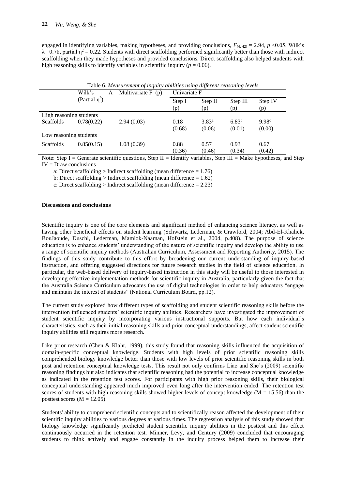engaged in identifying variables, making hypotheses, and providing conclusions,  $F_{(4, 42)} = 2.94$ ,  $p \le 0.05$ , Wilk's  $\lambda$  = 0.78, partial  $\eta$ <sup>2</sup> = 0.22. Students with direct scaffolding performed significantly better than those with indirect scaffolding when they made hypotheses and provided conclusions. Direct scaffolding also helped students with high reasoning skills to identify variables in scientific inquiry ( $p = 0.06$ ).

|                         | Wilk's              | Λ | Multivariate $F(p)$ | Univariate F  |                   |                 |                |
|-------------------------|---------------------|---|---------------------|---------------|-------------------|-----------------|----------------|
|                         | (Partial $\eta^2$ ) |   |                     | Step I<br>(p) | Step II<br>(p)    | Step III<br>(p) | Step IV<br>(p) |
| High reasoning students |                     |   |                     |               |                   |                 |                |
| <b>Scaffolds</b>        | 0.78(0.22)          |   | 2.94(0.03)          | 0.18          | 3.83 <sup>a</sup> | $6.83^{b}$      | 9.98c          |
|                         |                     |   |                     | (0.68)        | (0.06)            | (0.01)          | (0.00)         |
| Low reasoning students  |                     |   |                     |               |                   |                 |                |
| <b>Scaffolds</b>        | 0.85(0.15)          |   | 1.08(0.39)          | 0.88          | 0.57              | 0.93            | 0.67           |
|                         |                     |   |                     | (0.36)        | (0.46)            | (0.34)          | (0.42)         |

Table 6. *Measurement of inquiry abilities using different reasoning levels*

Note: Step I = Generate scientific questions, Step II = Identify variables, Step III = Make hypotheses, and Step  $IV = Draw conclusions$ 

a: Direct scaffolding > Indirect scaffolding (mean difference  $= 1.76$ )

b: Direct scaffolding > Indirect scaffolding (mean difference  $= 1.62$ )

c: Direct scaffolding > Indirect scaffolding (mean difference  $= 2.23$ )

## **Discussions and conclusions**

Scientific inquiry is one of the core elements and significant method of enhancing science literacy, as well as having other beneficial effects on student learning (Schwartz, Lederman, & Crawford, 2004; Abd-El-Khalick, BouJaoude, Duschl, Lederman, Mamlok-Naaman, Hofstein et al., 2004, p.408). The purpose of science education is to enhance students' understanding of the nature of scientific inquiry and develop the ability to use a range of scientific inquiry methods (Australian Curriculum, Assessment and Reporting Authority, 2015). The findings of this study contribute to this effort by broadening our current understanding of inquiry-based instruction, and offering suggested directions for future research studies in the field of science education. In particular, the web-based delivery of inquiry-based instruction in this study will be useful to those interested in developing effective implementation methods for scientific inquiry in Australia, particularly given the fact that the Australia Science Curriculum advocates the use of digital technologies in order to help educators "engage and maintain the interest of students" (National Curriculum Board, pp.12).

The current study explored how different types of scaffolding and student scientific reasoning skills before the intervention influenced students' scientific inquiry abilities. Researchers have investigated the improvement of student scientific inquiry by incorporating various instructional supports. But how each individual's characteristics, such as their initial reasoning skills and prior conceptual understandings, affect student scientific inquiry abilities still requires more research.

Like prior research (Chen & Klahr, 1999), this study found that reasoning skills influenced the acquisition of domain-specific conceptual knowledge. Students with high levels of prior scientific reasoning skills comprehended biology knowledge better than those with low levels of prior scientific reasoning skills in both post and retention conceptual knowledge tests. This result not only confirms Liao and She's (2009) scientific reasoning findings but also indicates that scientific reasoning had the potential to increase conceptual knowledge as indicated in the retention test scores. For participants with high prior reasoning skills, their biological conceptual understanding appeared much improved even long after the intervention ended. The retention test scores of students with high reasoning skills showed higher levels of concept knowledge ( $M = 15.56$ ) than the posttest scores  $(M = 12.05)$ .

Students' ability to comprehend scientific concepts and to scientifically reason affected the development of their scientific inquiry abilities to various degrees at various times. The regression analysis of this study showed that biology knowledge significantly predicted student scientific inquiry abilities in the posttest and this effect continuously occurred in the retention test. Minner, Levy, and Century (2009) concluded that encouraging students to think actively and engage constantly in the inquiry process helped them to increase their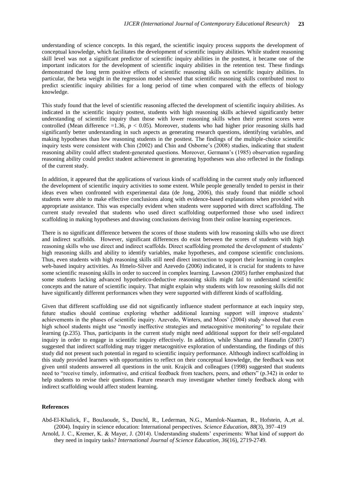understanding of science concepts. In this regard, the scientific inquiry process supports the development of conceptual knowledge, which facilitates the development of scientific inquiry abilities. While student reasoning skill level was not a significant predictor of scientific inquiry abilities in the posttest, it became one of the important indicators for the development of scientific inquiry abilities in the retention test. These findings demonstrated the long term positive effects of scientific reasoning skills on scientific inquiry abilities. In particular, the beta weight in the regression model showed that scientific reasoning skills contributed most to predict scientific inquiry abilities for a long period of time when compared with the effects of biology knowledge.

This study found that the level of scientific reasoning affected the development of scientific inquiry abilities. As indicated in the scientific inquiry posttest, students with high reasoning skills achieved significantly better understanding of scientific inquiry than those with lower reasoning skills when their pretest scores were controlled (Mean difference  $=1.36$ ,  $p < 0.05$ ). Moreover, students who had higher prior reasoning skills had significantly better understanding in such aspects as generating research questions, identifying variables, and making hypotheses than low reasoning students in the posttest. The findings of the multiple-choice scientific inquiry tests were consistent with Chin (2002) and Chin and Osborne's (2008) studies, indicating that student reasoning ability could affect student-generated questions. Moreover, Germann's (1985) observation regarding reasoning ability could predict student achievement in generating hypotheses was also reflected in the findings of the current study.

In addition, it appeared that the applications of various kinds of scaffolding in the current study only influenced the development of scientific inquiry activities to some extent. While people generally tended to persist in their ideas even when confronted with experimental data (de Jong, 2006), this study found that middle school students were able to make effective conclusions along with evidence-based explanations when provided with appropriate assistance. This was especially evident when students were supported with direct scaffolding. The current study revealed that students who used direct scaffolding outperformed those who used indirect scaffolding in making hypotheses and drawing conclusions deriving from their online learning experiences.

There is no significant difference between the scores of those students with low reasoning skills who use direct and indirect scaffolds. However, significant differences do exist between the scores of students with high reasoning skills who use direct and indirect scaffolds. Direct scaffolding promoted the development of students' high reasoning skills and ability to identify variables, make hypotheses, and compose scientific conclusions. Thus, even students with high reasoning skills still need direct instruction to support their learning in complex web-based inquiry activities. As Hmelo-Silver and Azevedo (2006) indicated, it is crucial for students to have some scientific reasoning skills in order to succeed in complex learning. Lawson (2005) further emphasized that some students lacking advanced hypothetico-deductive reasoning skills might fail to understand scientific concepts and the nature of scientific inquiry. That might explain why students with low reasoning skills did not have significantly different performances when they were supported with different kinds of scaffolding.

Given that different scaffolding use did not significantly influence student performance at each inquiry step, future studies should continue exploring whether additional learning support will improve students' achievements in the phases of scientific inquiry. Azevedo, Winters, and Moos' (2004) study showed that even high school students might use "mostly ineffective strategies and metacognitive monitoring" to regulate their learning (p.235). Thus, participants in the current study might need additional support for their self-regulated inquiry in order to engage in scientific inquiry effectively. In addition, while Sharma and Hannafin (2007) suggested that indirect scaffolding may trigger metacognitive exploration of understanding, the findings of this study did not present such potential in regard to scientific inquiry performance. Although indirect scaffolding in this study provided learners with opportunities to reflect on their conceptual knowledge, the feedback was not given until students answered all questions in the unit. Krajcik and colleagues (1998) suggested that students need to "receive timely, informative, and critical feedback from teachers, peers, and others" (p.342) in order to help students to revise their questions. Future research may investigate whether timely feedback along with indirect scaffolding would affect student learning.

#### **References**

- Abd-El-Khalick, F., BouJaoude, S., Duschl, R., Lederman, N.G., Mamlok-Naaman, R., Hofstein, A.,et al. (2004). Inquiry in science education: International perspectives. *Science Education*, *88*(3), 397–419
- Arnold, J. C., Kremer, K. & Mayer, J. (2014). Understanding students' experiments: What kind of support do they need in inquiry tasks? *International Journal of Science Education*, *36*(16), 2719-2749.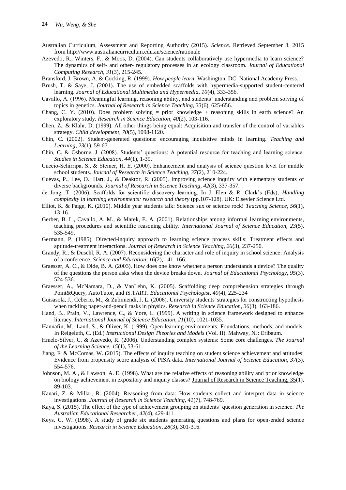- Australian Curriculum, Assessment and Reporting Authority (2015). *Science.* Retrieved September 8, 2015 from http://www.australiancurriculum.edu.au/science/rationale
- Azevedo, R., Winters, F., & Moos, D. (2004). Can students collaboratively use hypermedia to learn science? The dynamics of self- and other- regulatory processes in an ecology classroom. *Journal of Educational Computing Research, 31*(3), 215-245.
- Bransford, J. Brown, A. & Cocking, R. (1999). *How people learn.* Washington, DC: National Academy Press.
- Brush, T. & Saye, J. (2001). The use of embedded scaffolds with hypermedia-supported student-centered learning. *Journal of Educational Multimedia and Hypermedia, 10*(4), 333-356.
- Cavallo, A. (1996). Meaningful learning, reasoning ability, and students' understanding and problem solving of topics in genetics. *Journal of Research in Science Teaching, 33*(6), 625-656.
- Chang, C. Y. (2010). Does problem solving = prior knowledge + reasoning skills in earth science? An exploratory study. *Research in Science Education, 40*(2), 103-116.
- Chen, Z., & Klahr, D. (1999). All other things being equal: Acquisition and transfer of the control of variables strategy. *Child development, 70*(5), 1098-1120.
- Chin, C. (2002). Student-generated questions: encouraging inquisitive minds in learning. *Teaching and Learning, 23*(1), 59-67.
- Chin, C. & Osborne, J. (2008). Students' questions: A potential resource for teaching and learning science. *Studies in Science Education, 44*(1), 1-39.
- Cuccio‐Schirripa, S., & Steiner, H. E. (2000). Enhancement and analysis of science question level for middle school students. *Journal of Research in Science Teaching, 37*(2), 210-224.
- Cuevas, P., Lee, O., Hart, J., & Deaktor, R. (2005). Improving science inquiry with elementary students of diverse backgrounds. *Journal of Research in Science Teaching, 42*(3), 337-357.
- de Jong, T. (2006). Scaffolds for scientific discovery learning. In J. Elen & R. Clark's (Eds), *Handling complexity in learning environments: research and theory* (pp.107-128). UK: Elsevier Science Ltd.
- Elliot, K. & Paige, K. (2010). Middle year students talk: Science sux or science rock! *Teaching Science*, *56*(1), 13-16.
- Gerber, B. L., Cavallo, A. M., & Marek, E. A. (2001). Relationships among informal learning environments, teaching procedures and scientific reasoning ability. *International Journal of Science Education, 23*(5), 535-549.
- Germann, P. (1985). Directed-inquiry approach to learning science process skills: Treatment effects and aptitude-treatment interactions. *Journal of Research in Science Teaching, 26*(3), 237-250.
- Grandy, R., & Duschl, R. A. (2007). Reconsidering the character and role of inquiry in school science: Analysis of a conference. *Science and Education, 16*(2), 141–166.
- Graesser, A. C., & Olde, B. A. (2003). How does one know whether a person understands a device? The quality of the questions the person asks when the device breaks down. *Journal of Educational Psychology, 95*(3), 524-536.
- Graesser, A., McNamara, D., & VanLehn, K. (2005). Scaffolding deep comprehension strategies through Point&Query, AutoTutor, and iS.TART. *Educational Psychologist, 40*(4), 225-234
- Guisasola, J., Ceberio, M., & Zubimendi, J. L. (2006). University students' strategies for constructing hypothesis when tackling paper-and-pencil tasks in physics. *Research in Science Education, 36*(3), 163-186.
- Hand, B., Prain, V., Lawrence, C., & Yore, L. (1999). A writing in science framework designed to enhance literacy. *International Journal of Science Education, 21*(10), 1021-1035.
- Hannafin, M., Land, S., & Oliver, K. (1999). Open learning environments: Foundations, methods, and models. In Reigeluth, C. (Ed.) *Instructional Design Theories and Models* (Vol. II). Mahway, NJ: Erlbaum.
- Hmelo-Silver, C. & Azevedo, R. (2006). Understanding complex systems: Some core challenges. *The Journal of the Learning Science, 15*(1), 53-61.
- Jiang, F. & McComas, W. (2015). The effects of inquiry teaching on student science achievement and attitudes: Evidence from propensity score analysis of PISA data. *International Journal of Science Education*, *37*(3), 554-576.
- Johnson, M. A., & Lawson, A. E. (1998). What are the relative effects of reasoning ability and prior knowledge on biology achievement in expository and inquiry classes? Journal of Research in Science Teaching, 35(1), 89-103.
- Kanari, Z. & Millar, R. (2004). Reasoning from data: How students collect and interpret data in science investigations. *Journal of Research in Science Teaching, 41*(7), 748-769.
- Kaya, S. (2015). The effect of the type of achievement grouping on students' question generation in science. *The Australian Educational Researcher*, *42*(4), 429-411.
- Keys, C. W. (1998). A study of grade six students generating questions and plans for open-ended science investigations. *Research in Science Education, 28*(3), 301-316.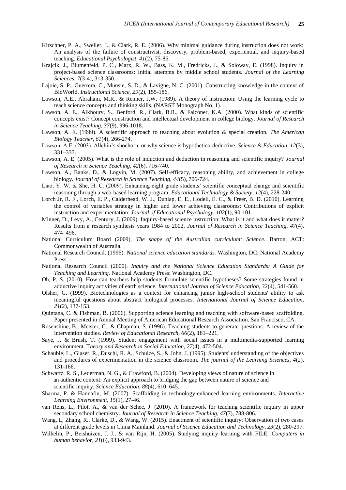- Kirschner, P. A., Sweller, J., & Clark, R. E. (2006). Why minimal guidance during instruction does not work: An analysis of the failure of constructivist, discovery, problem-based, experiential, and inquiry-based teaching. *Educational Psychologist, 41*(2), 75-86.
- Krajcik, J., Blumenfeld, P. C., Marx, R. W., Bass, K. M., Fredricks, J., & Soloway, E. (1998). Inquiry in project-based science classrooms: Initial attempts by middle school students. *Journal of the Learning Sciences, 7*(3-4), 313-350.
- Lajoie, S. P., Guerrera, C., Munsie, S. D., & Lavigne, N. C. (2001). Constructing knowledge in the context of BioWorld. *Instructional Science, 29*(2), 155-186.
- Lawson, A.E., Abraham, M.R., & Renner, J.W. (1989). A theory of instruction: Using the learning cycle to teach science concepts and thinking skills. (NARST Monograph No. 1).
- Lawson, A. E., Alkhoury, S., Benford, R., Clark, B.R., & Falconer, K.A. (2000). What kinds of scientific concepts exist? Concept construction and intellectual development in college biology. *Journal of Research in Science Teaching, 37*(9), 996-1018.
- Lawson, A. E. (1999). A scientific approach to teaching about evolution & special creation. *The American Biology Teacher, 61*(4), 266-274.
- Lawson, A.E. (2003). Allchin's shoehorn, or why science is hypothetico-deductive. *Science & Education, 12*(3), 331–337.
- Lawson, A. E. (2005). What is the role of induction and deduction in reasoning and scientific inquiry? *Journal of Research in Science Teaching, 42*(6), 716-740.
- Lawson, A., Banks, D., & Logvin, M. (2007). Self-efficacy, reasoning ability, and achievement in college biology. *Journal of Research in Science Teaching, 44*(5), 706-724.
- Liao, Y. W. & She, H. C. (2009). Enhancing eight grade students' scientific conceptual change and scientific reasoning through a web-based learning program. *Educational Technology & Society, 12*(4), 228-240.
- Lorch Jr, R. F., Lorch, E. P., Calderhead, W. J., Dunlap, E. E., Hodell, E. C., & Freer, B. D. (2010). Learning the control of variables strategy in higher and lower achieving classrooms: Contributions of explicit instruction and experimentation. *Journal of Educational Psychology, 102*(1), 90-101.
- Minner, D., Levy, A., Century, J. (2009). Inquiry-based science instruction: What is it and what does it matter? Results from a research synthesis years 1984 to 2002. *Journal of Research in Science Teaching, 47*(4), 474–496.
- National Curriculum Board (2009). *The shape of the Australian curriculum: Science*. Barton, ACT: Commonwealth of Australia.
- National Research Council. (1996). *National science education standards.* Washington, DC: National Academy Press.
- National Research Council (2000). *Inquiry and the National Science Education Standards: A Guide for Teaching and Learning.* National Academy Press: Washington, DC.
- Oh, P. S. (2010). How can teachers help students formulate scientific hypotheses? Some strategies found in adductive inquiry activities of earth science. *International Journal of Science Education, 32*(4), 541-560.
- Olsher, G. (1999). Biotechnologies as a context for enhancing junior high-school students' ability to ask meaningful questions about abstract biological processes. *International Journal of Science Education, 21*(2), 137-153.
- Quintana, C. & Fishman, B. (2006). Supporting science learning and teaching with software-based scaffolding. Paper presented in Annual Meeting of American Educational Research Association. San Francisco, CA.
- Rosenshine, B., Meister, C., & Chapman, S. (1996). Teaching students to generate questions: A review of the intervention studies. *Review of Educational Research, 66*(2), 181–221.
- Saye, J. & Brush, T. (1999). Student engagement with social issues in a multimedia-supported learning environment. T*heory and Research in Social Education, 27*(4), 472-504.
- Schauble, L., Glaser, R., Duschl, R. A., Schulze, S., & John, J. (1995). Students' understanding of the objectives and procedures of experimentation in the science classroom. *The journal of the Learning Sciences, 4*(2), 131-166.
- Schwartz, R. S., Lederman, N. G., & Crawford, B. (2004). Developing views of nature of science in an authentic context: An explicit approach to bridging the gap between nature of science and scientific inquiry. *Science Education*, *88*(4), 610–645.
- Sharma, P. & Hannafin, M. (2007). Scaffolding in technology-enhanced learning environments. *Interactive Learning Environment, 15*(1), 27-46.
- van Rens, L., Pilot, A., & van der Schee, J. (2010). A framework for teaching scientific inquiry in upper secondary school chemistry. *Journal of Research in Science Teaching, 47*(7), 788-806.
- Wang, L, Zhang, R., Clarke, D., & Wang, W. (2015). Enactment of scientific inquiry: Observation of two cases at different grade levels in China Mainland. *Journal of Science Education and Technology*, *23*(2), 280-297.
- Wilhelm, P., Beishuizen, J. J., & van Rijn, H. (2005). Studying inquiry learning with FILE. *Computers in human behavior, 21*(6), 933-943.